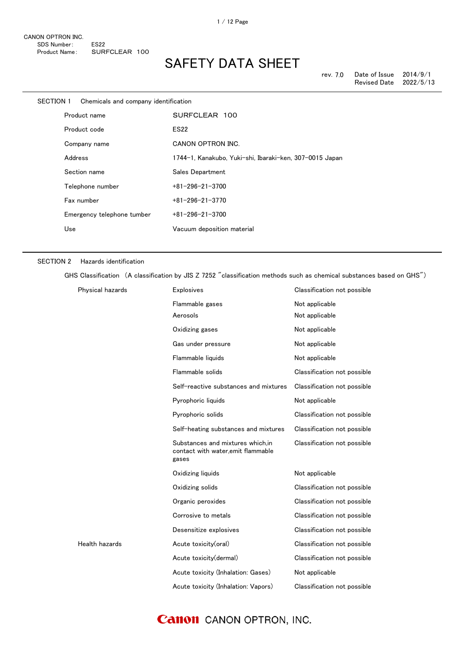| <b>SECTION 1</b> | Chemicals and company identification |                                                         |
|------------------|--------------------------------------|---------------------------------------------------------|
|                  | Product name                         | SURFCLEAR 100                                           |
|                  | Product code                         | <b>ES22</b>                                             |
|                  | Company name                         | CANON OPTRON INC.                                       |
|                  | Address                              | 1744-1, Kanakubo, Yuki-shi, Ibaraki-ken, 307-0015 Japan |
|                  | Section name                         | Sales Department                                        |
|                  | Telephone number                     | $+81 - 296 - 21 - 3700$                                 |
|                  | Fax number                           | $+81 - 296 - 21 - 3770$                                 |
|                  | Emergency telephone tumber           | $+81 - 296 - 21 - 3700$                                 |
|                  | Use                                  | Vacuum deposition material                              |
|                  |                                      |                                                         |

### SECTION 2 Hazards identification

GHS Classification (A classification by JIS Z 7252 "classification methods such as chemical substances based on GHS")

| Physical hazards | <b>Explosives</b>                                                               | Classification not possible |
|------------------|---------------------------------------------------------------------------------|-----------------------------|
|                  | Flammable gases                                                                 | Not applicable              |
|                  | Aerosols                                                                        | Not applicable              |
|                  | Oxidizing gases                                                                 | Not applicable              |
|                  | Gas under pressure                                                              | Not applicable              |
|                  | Flammable liquids                                                               | Not applicable              |
|                  | Flammable solids                                                                | Classification not possible |
|                  | Self-reactive substances and mixtures                                           | Classification not possible |
|                  | Pyrophoric liquids                                                              | Not applicable              |
|                  | Pyrophoric solids                                                               | Classification not possible |
|                  | Self-heating substances and mixtures                                            | Classification not possible |
|                  | Substances and mixtures which.in<br>contact with water, emit flammable<br>gases | Classification not possible |
|                  | Oxidizing liquids                                                               | Not applicable              |
|                  | Oxidizing solids                                                                | Classification not possible |
|                  | Organic peroxides                                                               | Classification not possible |
|                  | Corrosive to metals                                                             | Classification not possible |
|                  | Desensitize explosives                                                          | Classification not possible |
| Health hazards   | Acute toxicity(oral)                                                            | Classification not possible |
|                  | Acute toxicity(dermal)                                                          | Classification not possible |
|                  | Acute toxicity (Inhalation: Gases)                                              | Not applicable              |
|                  | Acute toxicity (Inhalation: Vapors)                                             | Classification not possible |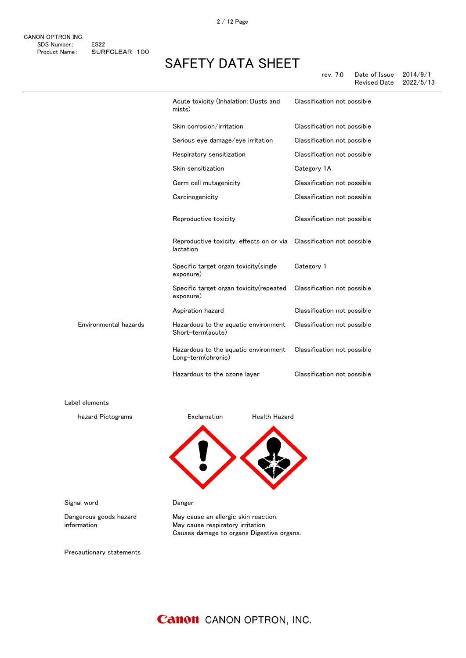### SAFETY DATA SHEET

rev. 7.0 Date of Issue 2014/9/1 Revised Date

|                       | Acute toxicity (Inhalation: Dusts and<br>mists)                                   | Classification not possible |
|-----------------------|-----------------------------------------------------------------------------------|-----------------------------|
|                       | Skin corrosion/irritation                                                         | Classification not possible |
|                       | Serious eye damage/eye irritation                                                 | Classification not possible |
|                       | Respiratory sensitization                                                         | Classification not possible |
|                       | Skin sensitization                                                                | Category 1A                 |
|                       | Germ cell mutagenicity                                                            | Classification not possible |
|                       | Carcinogenicity                                                                   | Classification not possible |
|                       | Reproductive toxicity                                                             | Classification not possible |
|                       | Reproductive toxicity, effects on or via Classification not possible<br>lactation |                             |
|                       | Specific target organ toxicity (single<br>exposure)                               | Category 1                  |
|                       | Specific target organ toxicity(repeated<br>exposure)                              | Classification not possible |
|                       | Aspiration hazard                                                                 | Classification not possible |
| Environmental hazards | Hazardous to the aquatic environment<br>Short-term(acute)                         | Classification not possible |
|                       | Hazardous to the aquatic environment<br>Long-term(chronic)                        | Classification not possible |
|                       | Hazardous to the ozone layer                                                      | Classification not possible |

Label elements

感嘆符 健康有害性 hazard Pictograms **Exclamation** Health Hazard

Signal word **Danger** 

Dangerous goods hazard information

May cause an allergic skin reaction. May cause respiratory irritation. Causes damage to organs Digestive organs.

Precautionary statements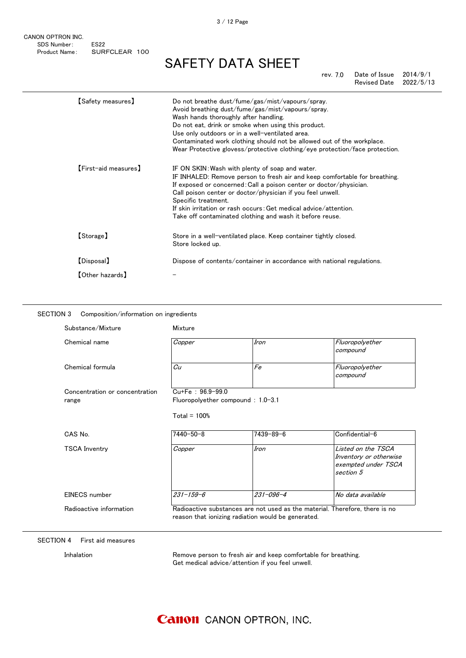# SAFETY DATA SHEET

rev. 7.0 Date of Issue 2014/9/1 Revised Date 2022/5/13

| 【Safety measures】     | Do not breathe dust/fume/gas/mist/vapours/spray.<br>Avoid breathing dust/fume/gas/mist/vapours/spray.<br>Wash hands thoroughly after handling.<br>Do not eat, drink or smoke when using this product.<br>Use only outdoors or in a well-ventilated area.<br>Contaminated work clothing should not be allowed out of the workplace.<br>Wear Protective glovess/protective clothing/eye protection/face protection.        |
|-----------------------|--------------------------------------------------------------------------------------------------------------------------------------------------------------------------------------------------------------------------------------------------------------------------------------------------------------------------------------------------------------------------------------------------------------------------|
| [First-aid measures]  | IF ON SKIN: Wash with plenty of soap and water.<br>IF INHALED: Remove person to fresh air and keep comfortable for breathing.<br>If exposed or concerned: Call a poison center or doctor/physician.<br>Call poison center or doctor/physician if you feel unwell.<br>Specific treatment.<br>If skin irritation or rash occurs: Get medical advice/attention.<br>Take off contaminated clothing and wash it before reuse. |
| 【Storage】             | Store in a well-ventilated place. Keep container tightly closed.<br>Store locked up.                                                                                                                                                                                                                                                                                                                                     |
| [Disposal]            | Dispose of contents/container in accordance with national regulations.                                                                                                                                                                                                                                                                                                                                                   |
| $\tt[Other\ hazards]$ |                                                                                                                                                                                                                                                                                                                                                                                                                          |

### SECTION 3 Composition/information on ingredients

| Chemical name                  | Copper                            | Iron                                               | Fluoropolyether<br>compound                                                      |
|--------------------------------|-----------------------------------|----------------------------------------------------|----------------------------------------------------------------------------------|
| Chemical formula               | Cu                                | Fe                                                 | Fluoropolyether                                                                  |
|                                |                                   |                                                    | compound                                                                         |
| Concentration or concentration | $Cu+Fe : 96.9-99.0$               |                                                    |                                                                                  |
| range                          | Fluoropolyether compound: 1.0-3.1 |                                                    |                                                                                  |
|                                | Total = $100%$                    |                                                    |                                                                                  |
| CAS No.                        | $7440 - 50 - 8$                   | 7439-89-6                                          | Confidential-6                                                                   |
| <b>TSCA Inventry</b>           | Copper                            | Iron                                               | Listed on the TSCA<br>Inventory or otherwise<br>exempted under TSCA<br>section 5 |
| EINECS number                  | $231 - 159 - 6$                   | $231 - 096 - 4$                                    | No data available                                                                |
| Radioactive information        |                                   | reason that ionizing radiation would be generated. | Radioactive substances are not used as the material. Therefore, there is no      |

### SECTION 4 First aid measures

Inhalation **Remove person to fresh air and keep comfortable for breathing.** Get medical advice/attention if you feel unwell.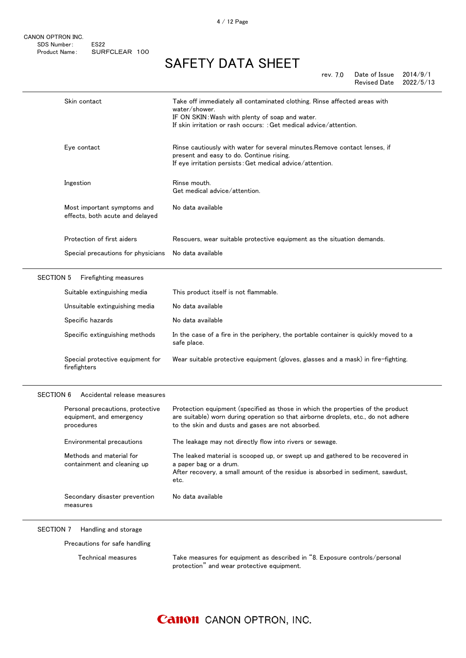# SAFETY DATA SHEET

| rev. 7.0 | Date of Issue | 2014/9/1  |
|----------|---------------|-----------|
|          | Revised Date  | 2022/5/13 |

|                  | Skin contact                                                               | Take off immediately all contaminated clothing. Rinse affected areas with<br>water/shower.<br>IF ON SKIN: Wash with plenty of soap and water.<br>If skin irritation or rash occurs: : Get medical advice/attention.        |
|------------------|----------------------------------------------------------------------------|----------------------------------------------------------------------------------------------------------------------------------------------------------------------------------------------------------------------------|
|                  | Eye contact                                                                | Rinse cautiously with water for several minutes. Remove contact lenses, if<br>present and easy to do. Continue rising.<br>If eye irritation persists: Get medical advice/attention.                                        |
|                  | Ingestion                                                                  | Rinse mouth.<br>Get medical advice/attention.                                                                                                                                                                              |
|                  | Most important symptoms and<br>effects, both acute and delayed             | No data available                                                                                                                                                                                                          |
|                  | Protection of first aiders                                                 | Rescuers, wear suitable protective equipment as the situation demands.                                                                                                                                                     |
|                  | Special precautions for physicians                                         | No data available                                                                                                                                                                                                          |
| <b>SECTION 5</b> | Firefighting measures                                                      |                                                                                                                                                                                                                            |
|                  | Suitable extinguishing media                                               | This product itself is not flammable.                                                                                                                                                                                      |
|                  | Unsuitable extinguishing media                                             | No data available                                                                                                                                                                                                          |
|                  | Specific hazards                                                           | No data available                                                                                                                                                                                                          |
|                  | Specific extinguishing methods                                             | In the case of a fire in the periphery, the portable container is quickly moved to a<br>safe place.                                                                                                                        |
|                  | Special protective equipment for<br>firefighters                           | Wear suitable protective equipment (gloves, glasses and a mask) in fire-fighting.                                                                                                                                          |
|                  |                                                                            |                                                                                                                                                                                                                            |
| <b>SECTION 6</b> | Accidental release measures                                                |                                                                                                                                                                                                                            |
|                  | Personal precautions, protective<br>equipment, and emergency<br>procedures | Protection equipment (specified as those in which the properties of the product<br>are suitable) worn during operation so that airborne droplets, etc., do not adhere<br>to the skin and dusts and gases are not absorbed. |
|                  | Environmental precautions                                                  | The leakage may not directly flow into rivers or sewage.                                                                                                                                                                   |
|                  | Methods and material for<br>containment and cleaning up                    | The leaked material is scooped up, or swept up and gathered to be recovered in<br>a paper bag or a drum.<br>After recovery, a small amount of the residue is absorbed in sediment, sawdust,<br>etc.                        |
|                  | Secondary disaster prevention<br>measures                                  | No data available                                                                                                                                                                                                          |

Precautions for safe handling

Technical measures Take measures for equipment as described in "8. Exposure controls/personal protection" and wear protective equipment.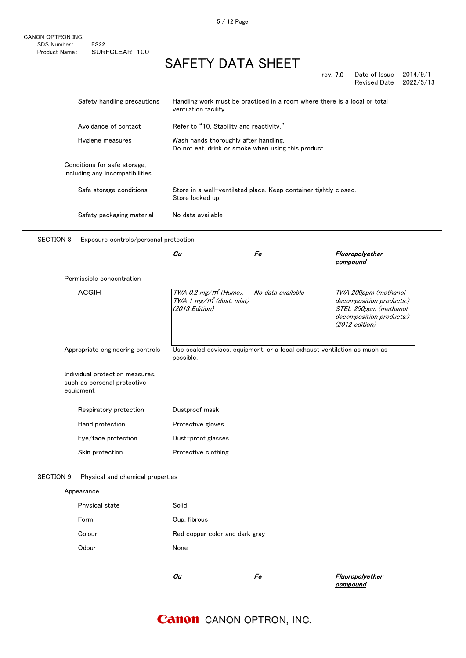rev. 7.0 Date of Issue 2014/9/1 Revised Date 2022/5/13

| Safety handling precautions                                                 | Handling work must be practiced in a room where there is a local or total<br>ventilation facility. |                   |                                                                                                                           |
|-----------------------------------------------------------------------------|----------------------------------------------------------------------------------------------------|-------------------|---------------------------------------------------------------------------------------------------------------------------|
| Avoidance of contact                                                        | Refer to "10. Stability and reactivity."                                                           |                   |                                                                                                                           |
| Hygiene measures                                                            | Wash hands thoroughly after handling.<br>Do not eat, drink or smoke when using this product.       |                   |                                                                                                                           |
| Conditions for safe storage,<br>including any incompatibilities             |                                                                                                    |                   |                                                                                                                           |
| Safe storage conditions                                                     | Store in a well-ventilated place. Keep container tightly closed.<br>Store locked up.               |                   |                                                                                                                           |
| Safety packaging material                                                   | No data available                                                                                  |                   |                                                                                                                           |
| <b>SECTION 8</b><br>Exposure controls/personal protection                   |                                                                                                    |                   |                                                                                                                           |
|                                                                             | <u>Cu</u>                                                                                          | <u>Fe</u>         | <b>Fluoropolyether</b><br>compound                                                                                        |
|                                                                             |                                                                                                    |                   |                                                                                                                           |
| Permissible concentration                                                   |                                                                                                    |                   |                                                                                                                           |
| <b>ACGIH</b>                                                                | TWA 0.2 $mg/m^3$ (Hume),<br>TWA 1 mg/m <sup>3</sup> (dust, mist)<br>(2013 Edition)                 | No data available | TWA 200ppm (methanol<br>decomposition products:)<br>STEL 250ppm (methanol<br>decomposition products:)<br>$(2012$ edition) |
| Appropriate engineering controls                                            | Use sealed devices, equipment, or a local exhaust ventilation as much as<br>possible.              |                   |                                                                                                                           |
| Individual protection measures,<br>such as personal protective<br>equipment |                                                                                                    |                   |                                                                                                                           |
| Respiratory protection                                                      | Dustproof mask                                                                                     |                   |                                                                                                                           |
| Hand protection                                                             | Protective gloves                                                                                  |                   |                                                                                                                           |
| Eye/face protection                                                         | Dust-proof glasses                                                                                 |                   |                                                                                                                           |

Appearance

| Physical state | Solid                          |
|----------------|--------------------------------|
| Form           | Cup, fibrous                   |
| Colour         | Red copper color and dark grav |
| Odour          | None                           |
|                |                                |

 $\mathcal{L}u$ 

 Fe Fluoropolyether compound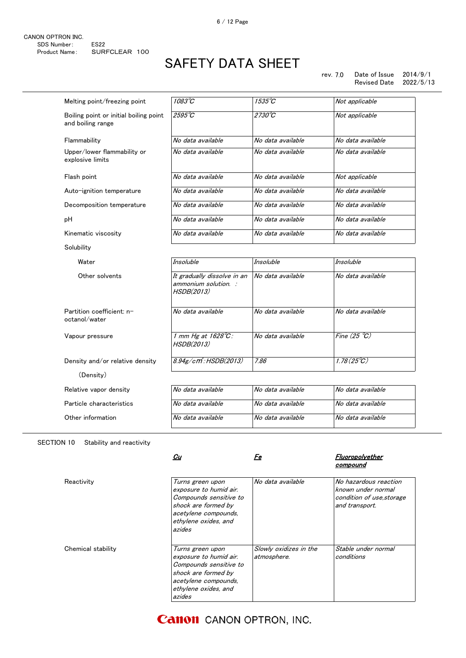### rev. 7.0 Date of Issue 2014/9/1 Revised Date

| Melting point/freezing point                                | 1083°C                                                                   | 1535°C            | Not applicable        |
|-------------------------------------------------------------|--------------------------------------------------------------------------|-------------------|-----------------------|
| Boiling point or initial boiling point<br>and boiling range | 2595°C                                                                   | $2730^{\circ}C$   | Not applicable        |
| Flammability                                                | No data available                                                        | No data available | No data available     |
| Upper/lower flammability or<br>explosive limits             | No data available                                                        | No data available | No data available     |
| Flash point                                                 | No data available                                                        | No data available | Not applicable        |
| Auto-ignition temperature                                   | No data available                                                        | No data available | No data available     |
| Decomposition temperature                                   | No data available                                                        | No data available | No data available     |
| pН                                                          | No data available                                                        | No data available | No data available     |
| Kinematic viscosity                                         | No data available                                                        | No data available | No data available     |
| Solubility                                                  |                                                                          |                   |                       |
| Water                                                       | Insoluble                                                                | Insoluble         | <b>Insoluble</b>      |
| Other solvents                                              | It gradually dissolve in an<br>ammonium solution. :<br><b>HSDB(2013)</b> | No data available | No data available     |
| Partition coefficient: n-<br>octanol/water                  | No data available                                                        | No data available | No data available     |
| Vapour pressure                                             | 1 mm Hg at $1628^{\circ}$ C:<br>HSDB(2013)                               | No data available | Fine $(25 \degree C)$ |
| Density and/or relative density                             | 8.94g/cm.HSDB(2013)                                                      | 7.86              | $1.78(25^{\circ}C)$   |
| (Density)                                                   |                                                                          |                   |                       |
| Relative vapor density                                      | No data available                                                        | No data available | No data available     |
| Particle characteristics                                    | No data available                                                        | No data available | No data available     |
| Other information                                           | No data available                                                        | No data available | No data available     |

### SECTION 10 Stability and reactivity

|                    | Cu                                                                                                                                                    | Fe                                    | Fluoropolyether<br>compound                                                                |
|--------------------|-------------------------------------------------------------------------------------------------------------------------------------------------------|---------------------------------------|--------------------------------------------------------------------------------------------|
| Reactivity         | Turns green upon<br>exposure to humid air.<br>Compounds sensitive to<br>shock are formed by<br>acetylene compounds,<br>ethylene oxides, and<br>azides | No data available                     | No hazardous reaction<br>known under normal<br>condition of use, storage<br>and transport. |
| Chemical stability | Turns green upon<br>exposure to humid air.<br>Compounds sensitive to<br>shock are formed by<br>acetylene compounds,<br>ethylene oxides, and<br>azides | Slowly oxidizes in the<br>atmosphere. | Stable under normal<br>conditions                                                          |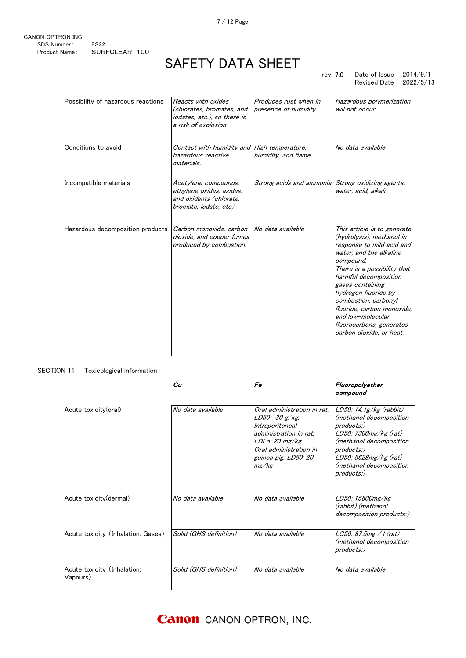rev. 7.0 Date of Issue 2014/9/1 Revised Date 2022/5/13

| Possibility of hazardous reactions | Reacts with oxides<br>(chlorates, bromates, and<br>iodates, etc.), so there is<br>a risk of explosion | Produces rust when in<br>presence of humidity.    | Hazardous polymerization<br>will not occur                                                                                                                                                                                                                                                                                                                           |
|------------------------------------|-------------------------------------------------------------------------------------------------------|---------------------------------------------------|----------------------------------------------------------------------------------------------------------------------------------------------------------------------------------------------------------------------------------------------------------------------------------------------------------------------------------------------------------------------|
| Conditions to avoid                | Contact with humidity and<br>hazardous reactive<br>materials.                                         | High temperature,<br>humidity, and flame          | No data available                                                                                                                                                                                                                                                                                                                                                    |
| Incompatible materials             | Acetylene compounds,<br>ethylene oxides, azides,<br>and oxidants (chlorate.<br>bromate, iodate, etc)  | Strong acids and ammonia Strong oxidizing agents, | water, acid, alkali                                                                                                                                                                                                                                                                                                                                                  |
| Hazardous decomposition products   | Carbon monoxide, carbon<br>dioxide, and copper fumes<br>produced by combustion.                       | No data available                                 | This article is to generate<br>(hydrolysis), methanol in<br>response to mild acid and<br>water, and the alkaline<br>compound.<br>There is a possibility that<br>harmful decomposition<br>gases containing<br>hydrogen fluoride by<br>combustion, carbonyl<br>fluoride, carbon monoxide,<br>and low-molecular<br>fluorocarbons, generates<br>carbon dioxide, or heat. |

SECTION 11 Toxicological information

|                                         | Cu                     | Fe                                                                                                                                                                     | Fluoropolyether<br>compound                                                                                                                                                                                 |
|-----------------------------------------|------------------------|------------------------------------------------------------------------------------------------------------------------------------------------------------------------|-------------------------------------------------------------------------------------------------------------------------------------------------------------------------------------------------------------|
| Acute toxicity(oral)                    | No data available      | Oral administration in rat:<br>LD50: 30 g/kg<br>Intraperitoneal<br>administration in rat:<br>LDLo: 20 mg/kg<br>Oral administration in<br>guinea pig: LD50: 20<br>mg/kg | $LD50: 14.1g/kg$ (rabbit)<br>(methanol decomposition<br>$products$ .)<br>LD50: 7300mg/kg (rat)<br>(methanol decomposition<br>products:)<br>$LD50: 5628mg/kg$ (rat)<br>(methanol decomposition<br>products:) |
| Acute toxicity (dermal)                 | No data available      | No data available                                                                                                                                                      | LD50: 15800mg/kg<br>(rabbit) (methanol<br>decomposition products:)                                                                                                                                          |
| Acute toxicity (Inhalation: Gases)      | Solid (GHS definition) | No data available                                                                                                                                                      | LC50: 87.5mg / I (rat)<br>(methanol decomposition<br>products:)                                                                                                                                             |
| Acute toxicity (Inhalation:<br>Vapours) | Solid (GHS definition) | No data available                                                                                                                                                      | No data available                                                                                                                                                                                           |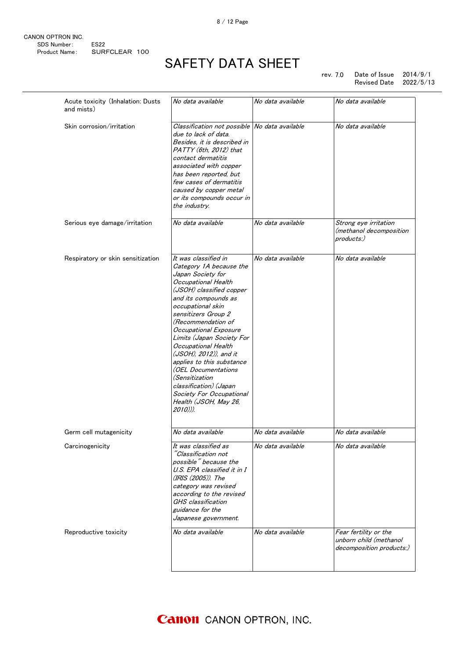| CANON OPTRON INC. |                  |  |
|-------------------|------------------|--|
| SDS Number:       | FS <sub>22</sub> |  |
| Product Name:     | SURFCLEAR 100    |  |

rev. 7.0 Date of Issue 2014/9/1 Revised Date 2022/5/13

| Acute toxicity (Inhalation: Dusts<br>and mists) | No data available                                                                                                                                                                                                                                                                                                                                                                                                                                                                         | No data available | No data available                                                           |
|-------------------------------------------------|-------------------------------------------------------------------------------------------------------------------------------------------------------------------------------------------------------------------------------------------------------------------------------------------------------------------------------------------------------------------------------------------------------------------------------------------------------------------------------------------|-------------------|-----------------------------------------------------------------------------|
| Skin corrosion/irritation                       | Classification not possible No data available<br>due to lack of data.<br>Besides, it is described in<br>PATTY (6th, 2012) that<br>contact dermatitis<br>associated with copper<br>has been reported, but<br>few cases of dermatitis<br>caused by copper metal<br>or its compounds occur in<br>the industry.                                                                                                                                                                               |                   | No data available                                                           |
| Serious eye damage/irritation                   | No data available                                                                                                                                                                                                                                                                                                                                                                                                                                                                         | No data available | Strong eye irritation<br>(methanol decomposition<br>products:)              |
| Respiratory or skin sensitization               | It was classified in<br>Category 1A because the<br>Japan Society for<br>Occupational Health<br>(JSOH) classified copper<br>and its compounds as<br>occupational skin<br>sensitizers Group 2<br>(Recommendation of<br>Occupational Exposure<br>Limits (Japan Society For<br>Occupational Health<br>(JSOH), 2012)), and it<br>applies to this substance<br>(OEL Documentations<br>(Sensitization<br>classification) (Japan<br>Society For Occupational<br>Health (JSOH, May 26,<br>2010))). | No data available | No data available                                                           |
| Germ cell mutagenicity                          | No data available                                                                                                                                                                                                                                                                                                                                                                                                                                                                         | No data available | No data available                                                           |
| Carcinogenicity                                 | It was classified as<br>"Classification not<br>possible" because the<br>U.S. EPA classified it in I<br>(IRIS (2005)). The<br>category was revised<br>according to the revised<br>GHS classification<br>guidance for the<br>Japanese government.                                                                                                                                                                                                                                           | No data available | No data available                                                           |
| Reproductive toxicity                           | No data available                                                                                                                                                                                                                                                                                                                                                                                                                                                                         | No data available | Fear fertility or the<br>unborn child (methanol<br>decomposition products:) |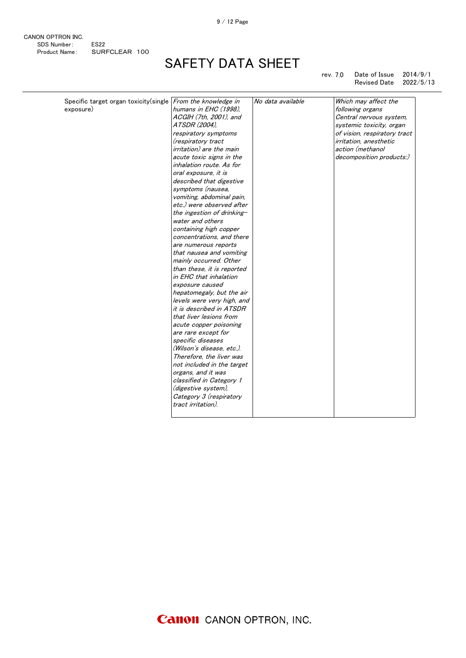9 / 12 Page

| CANON OPTRON INC. |                  |  |
|-------------------|------------------|--|
| SDS Number:       | FS <sub>22</sub> |  |
| Product Name:     | SURFCLEAR 100    |  |

# SAFETY DATA SHEET

rev. 7.0 Date of Issue 2014/9/1 Revised Date 2022/5/13

| Specific target organ toxicity (single From the knowledge in |                                 | No data available | Which may affect the           |
|--------------------------------------------------------------|---------------------------------|-------------------|--------------------------------|
| exposure)                                                    | humans in EHC (1998).           |                   | following organs               |
|                                                              | ACGIH (7th, 2001), and          |                   | Central nervous system,        |
|                                                              | ATSDR (2004),                   |                   | systemic toxicity, organ       |
|                                                              | respiratory symptoms            |                   | of vision, respiratory tract   |
|                                                              | (respiratory tract              |                   | <i>irritation</i> , anesthetic |
|                                                              | <i>irritation)</i> are the main |                   | action (methanol               |
|                                                              | acute toxic signs in the        |                   | decomposition products:)       |
|                                                              | inhalation route. As for        |                   |                                |
|                                                              | oral exposure, it is            |                   |                                |
|                                                              | described that digestive        |                   |                                |
|                                                              | symptoms (nausea,               |                   |                                |
|                                                              | vomiting, abdominal pain,       |                   |                                |
|                                                              | etc.) were observed after       |                   |                                |
|                                                              | the ingestion of drinking-      |                   |                                |
|                                                              | water and others                |                   |                                |
|                                                              | containing high copper          |                   |                                |
|                                                              | concentrations, and there       |                   |                                |
|                                                              | are numerous reports            |                   |                                |
|                                                              | that nausea and vomiting        |                   |                                |
|                                                              | mainly occurred. Other          |                   |                                |
|                                                              | than these, it is reported      |                   |                                |
|                                                              | in EHC that inhalation          |                   |                                |
|                                                              | exposure caused                 |                   |                                |
|                                                              | hepatomegaly, but the air       |                   |                                |
|                                                              | levels were very high, and      |                   |                                |
|                                                              | it is described in ATSDR        |                   |                                |
|                                                              | that liver lesions from         |                   |                                |
|                                                              | acute copper poisoning          |                   |                                |
|                                                              | are rare except for             |                   |                                |
|                                                              | specific diseases               |                   |                                |
|                                                              | (Wilson's disease, etc.).       |                   |                                |
|                                                              | Therefore, the liver was        |                   |                                |
|                                                              | not included in the target      |                   |                                |
|                                                              | organs, and it was              |                   |                                |
|                                                              | classified in Category 1        |                   |                                |
|                                                              | (digestive system),             |                   |                                |
|                                                              | Category 3 (respiratory         |                   |                                |
|                                                              | tract irritation).              |                   |                                |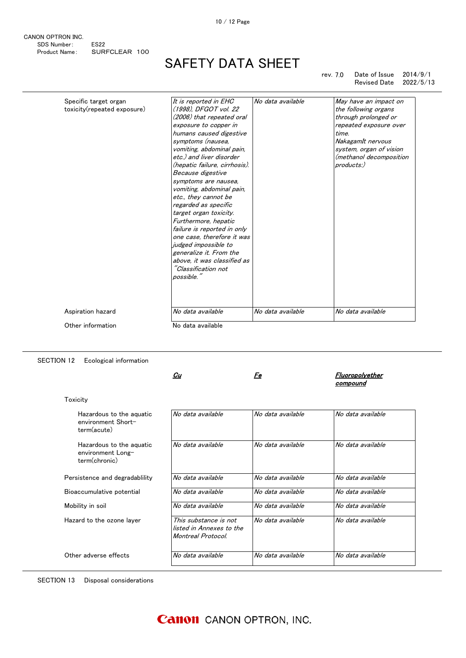SAFETY DATA SHEET

rev. 7.0 Date of Issue 2014/9/1 Revised Date

| Specific target organ       | It is reported in EHC         | No data available | May have an impact on   |
|-----------------------------|-------------------------------|-------------------|-------------------------|
| toxicity(repeated exposure) | (1998), DFGOT vol. 22         |                   | the following organs    |
|                             | (2006) that repeated oral     |                   | through prolonged or    |
|                             | exposure to copper in         |                   | repeated exposure over  |
|                             | humans caused digestive       |                   | time.                   |
|                             | symptoms (nausea,             |                   | NakagamIt nervous       |
|                             | vomiting, abdominal pain,     |                   | system, organ of vision |
|                             | etc.) and liver disorder      |                   | (methanol decomposition |
|                             | (hepatic failure, cirrhosis). |                   | products:)              |
|                             | Because digestive             |                   |                         |
|                             | symptoms are nausea,          |                   |                         |
|                             | vomiting, abdominal pain,     |                   |                         |
|                             | etc., they cannot be          |                   |                         |
|                             | regarded as specific          |                   |                         |
|                             | target organ toxicity.        |                   |                         |
|                             | Furthermore, hepatic          |                   |                         |
|                             | failure is reported in only   |                   |                         |
|                             | one case, therefore it was    |                   |                         |
|                             | judged impossible to          |                   |                         |
|                             | generalize it. From the       |                   |                         |
|                             | above, it was classified as   |                   |                         |
|                             | "Classification not           |                   |                         |
|                             | possible.                     |                   |                         |
|                             |                               |                   |                         |
|                             |                               |                   |                         |
| Aspiration hazard           | No data available             | No data available | No data available       |
|                             |                               |                   |                         |
| Other information           | No data available             |                   |                         |

SECTION 12 Ecological information

 $\frac{C_{U}}{C_{U}}$ 

### Fe Fluoropolyether **compound**

| Toxicity                                                       |                                                                         |                   |                   |
|----------------------------------------------------------------|-------------------------------------------------------------------------|-------------------|-------------------|
| Hazardous to the aguatic<br>environment Short-<br>term(acute)  | No data available                                                       | No data available | No data available |
| Hazardous to the aguatic<br>environment Long-<br>term(chronic) | No data available                                                       | No data available | No data available |
| Persistence and degradability                                  | No data available                                                       | No data available | No data available |
| Bioaccumulative potential                                      | No data available                                                       | No data available | No data available |
| Mobility in soil                                               | No data available                                                       | No data available | No data available |
| Hazard to the ozone layer                                      | This substance is not<br>listed in Annexes to the<br>Montreal Protocol. | No data available | No data available |
| Other adverse effects                                          | No data available                                                       | No data available | No data available |

SECTION 13 Disposal considerations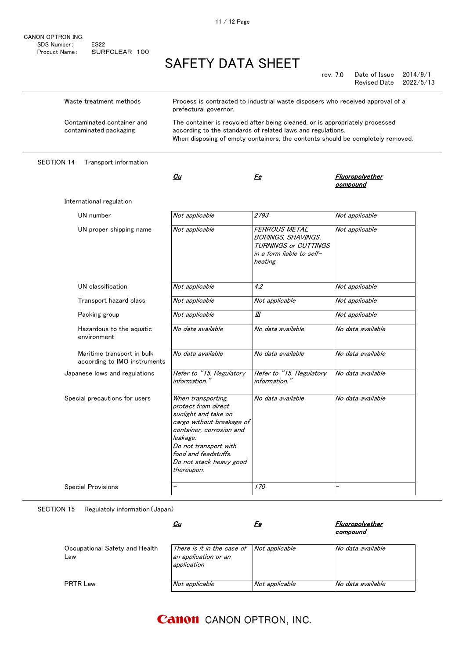| CANON OPTRON INC. |                  |  |
|-------------------|------------------|--|
| SDS Number:       | FS <sub>22</sub> |  |
| Product Name:     | SURFCLEAR 100    |  |

rev. 7.0 Date of Issue 2014/9/1 Revised Date 2022/5/13

| Waste treatment methods                                    | Process is contracted to industrial waste disposers who received approval of a<br>prefectural governor.                                                                                                                          |                                                                                                                   |                             |
|------------------------------------------------------------|----------------------------------------------------------------------------------------------------------------------------------------------------------------------------------------------------------------------------------|-------------------------------------------------------------------------------------------------------------------|-----------------------------|
| Contaminated container and<br>contaminated packaging       | The container is recycled after being cleaned, or is appropriately processed<br>according to the standards of related laws and regulations.<br>When disposing of empty containers, the contents should be completely removed.    |                                                                                                                   |                             |
| <b>SECTION 14</b><br>Transport information                 |                                                                                                                                                                                                                                  |                                                                                                                   |                             |
|                                                            | Cu                                                                                                                                                                                                                               | Fe                                                                                                                | Fluoropolyether<br>compound |
| International regulation                                   |                                                                                                                                                                                                                                  |                                                                                                                   |                             |
| UN number                                                  | Not applicable                                                                                                                                                                                                                   | 2793                                                                                                              | Not applicable              |
| UN proper shipping name                                    | Not applicable                                                                                                                                                                                                                   | FERROUS METAL<br><b>BORINGS, SHAVINGS,</b><br><b>TURNINGS or CUTTINGS</b><br>in a form liable to self-<br>heating | Not applicable              |
| UN classification                                          | Not applicable                                                                                                                                                                                                                   | 4.2                                                                                                               | Not applicable              |
| Transport hazard class                                     | Not applicable                                                                                                                                                                                                                   | Not applicable                                                                                                    | Not applicable              |
| Packing group                                              | Not applicable                                                                                                                                                                                                                   | Ш                                                                                                                 | Not applicable              |
| Hazardous to the aguatic<br>environment                    | No data available                                                                                                                                                                                                                | No data available                                                                                                 | No data available           |
| Maritime transport in bulk<br>according to IMO instruments | No data available                                                                                                                                                                                                                | No data available                                                                                                 | No data available           |
| Japanese lows and regulations                              | Refer to "15. Regulatory<br>information."                                                                                                                                                                                        | Refer to "15. Regulatory<br>information."                                                                         | No data available           |
| Special precautions for users                              | When transporting,<br>protect from direct<br>sunlight and take on<br>cargo without breakage of<br>container, corrosion and<br>leakage.<br>Do not transport with<br>food and feedstuffs.<br>Do not stack heavy good<br>thereupon. | No data available                                                                                                 | No data available           |
| Special Provisions                                         |                                                                                                                                                                                                                                  | 170                                                                                                               |                             |

SECTION 15 Regulatoly information(Japan)

|                                       | <u>Cu</u>                                                                                | re             | Fluoropolyether<br>compound |
|---------------------------------------|------------------------------------------------------------------------------------------|----------------|-----------------------------|
| Occupational Safety and Health<br>Law | There is it in the case of $\vert$ Not applicable<br>an application or an<br>application |                | No data available           |
| PRTR Law                              | Not applicable                                                                           | Not applicable | No data available           |